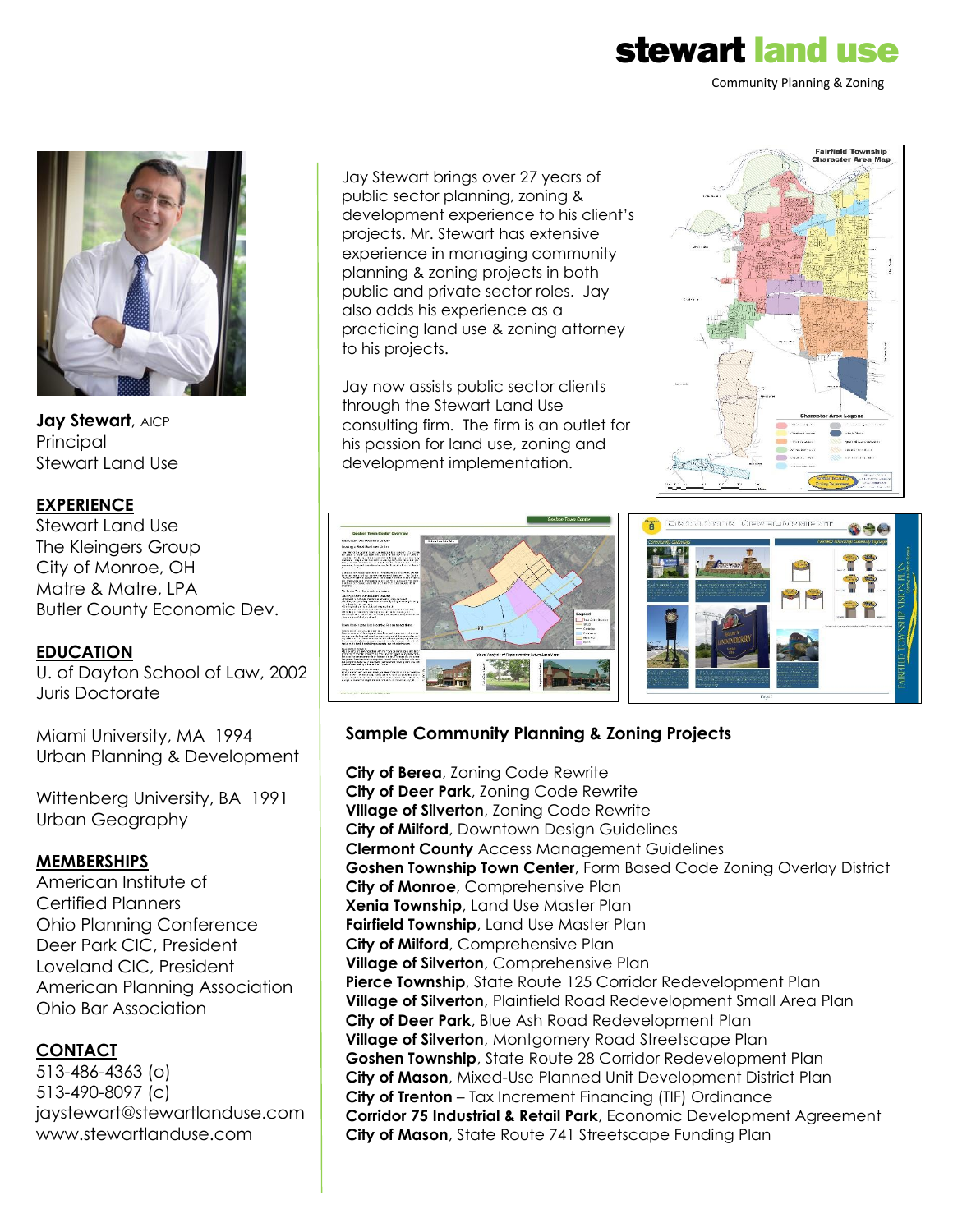# stewart land use

Community Planning & Zoning



Jay Stewart, AICP **Principal** Stewart Land Use

#### **EXPERIENCE**

Stewart Land Use The Kleingers Group City of Monroe, OH Matre & Matre, LPA Butler County Economic Dev.

#### **EDUCATION**

U. of Dayton School of Law, 2002 Juris Doctorate

Miami University, MA 1994 Urban Planning & Development

Wittenberg University, BA 1991 Urban Geography

#### **MEMBERSHIPS**

American Institute of Certified Planners Ohio Planning Conference Deer Park CIC, President Loveland CIC, President American Planning Association Ohio Bar Association

#### **CONTACT**

513-486-4363 (o) 513-490-8097 (c) jaystewart@stewartlanduse.com www.stewartlanduse.com

Jay Stewart brings over 27 years of public sector planning, zoning & development experience to his client's projects. Mr. Stewart has extensive experience in managing community planning & zoning projects in both public and private sector roles. Jay also adds his experience as a practicing land use & zoning attorney to his projects.

Jay now assists public sector clients through the Stewart Land Use consulting firm. The firm is an outlet for his passion for land use, zoning and development implementation.





#### **Sample Community Planning & Zoning Projects**

**City of Berea**, Zoning Code Rewrite **City of Deer Park**, Zoning Code Rewrite **Village of Silverton**, Zoning Code Rewrite **City of Milford**, Downtown Design Guidelines **Clermont County** Access Management Guidelines **Goshen Township Town Center**, Form Based Code Zoning Overlay District **City of Monroe**, Comprehensive Plan **Xenia Township**, Land Use Master Plan **Fairfield Township**, Land Use Master Plan **City of Milford**, Comprehensive Plan **Village of Silverton**, Comprehensive Plan **Pierce Township**, State Route 125 Corridor Redevelopment Plan **Village of Silverton**, Plainfield Road Redevelopment Small Area Plan **City of Deer Park**, Blue Ash Road Redevelopment Plan **Village of Silverton**, Montgomery Road Streetscape Plan **Goshen Township**, State Route 28 Corridor Redevelopment Plan **City of Mason**, Mixed-Use Planned Unit Development District Plan **City of Trenton** – Tax Increment Financing (TIF) Ordinance **Corridor 75 Industrial & Retail Park**, Economic Development Agreement **City of Mason**, State Route 741 Streetscape Funding Plan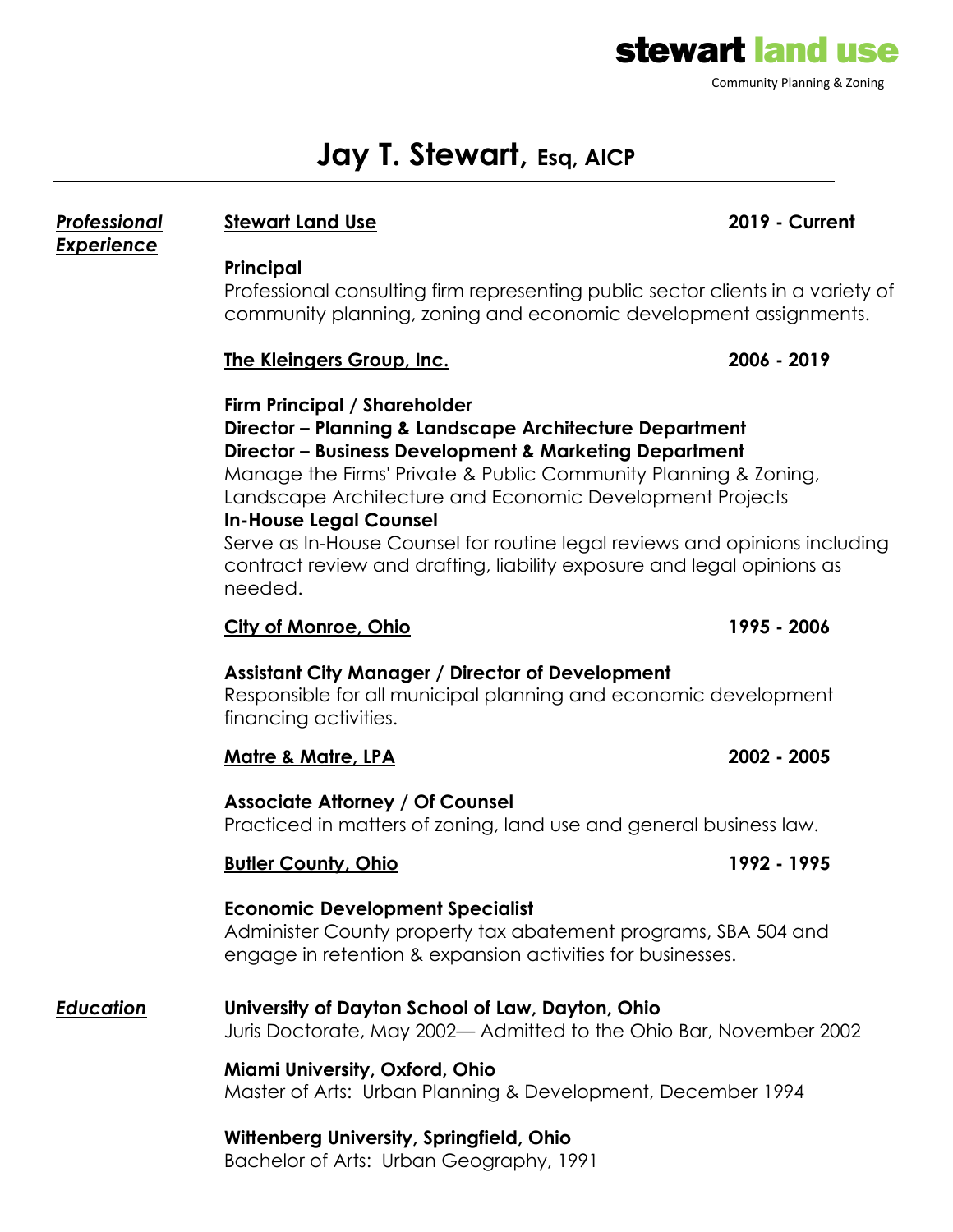

## **Jay T. Stewart, Esq, AICP**

### *Professional* **Stewart Land Use 2019 - Current**

*Experience*

#### **Principal**

Professional consulting firm representing public sector clients in a variety of community planning, zoning and economic development assignments.

### **The Kleingers Group, Inc. 2006 - 2019**

### **Firm Principal / Shareholder Director – Planning & Landscape Architecture Department Director – Business Development & Marketing Department** Manage the Firms' Private & Public Community Planning & Zoning, Landscape Architecture and Economic Development Projects **In-House Legal Counsel**

Serve as In-House Counsel for routine legal reviews and opinions including contract review and drafting, liability exposure and legal opinions as needed.

### **City of Monroe, Ohio 1995 - 2006**

### **Assistant City Manager / Director of Development**

Responsible for all municipal planning and economic development financing activities.

### **Matre & Matre, LPA 2002 - 2005**

### **Associate Attorney / Of Counsel**

Practiced in matters of zoning, land use and general business law.

### **Butler County, Ohio 1992 - 1995**

### **Economic Development Specialist**

Administer County property tax abatement programs, SBA 504 and engage in retention & expansion activities for businesses.

#### *Education* **University of Dayton School of Law, Dayton, Ohio** Juris Doctorate, May 2002— Admitted to the Ohio Bar, November 2002

**Miami University, Oxford, Ohio** Master of Arts: Urban Planning & Development, December 1994

### **Wittenberg University, Springfield, Ohio**

Bachelor of Arts: Urban Geography, 1991